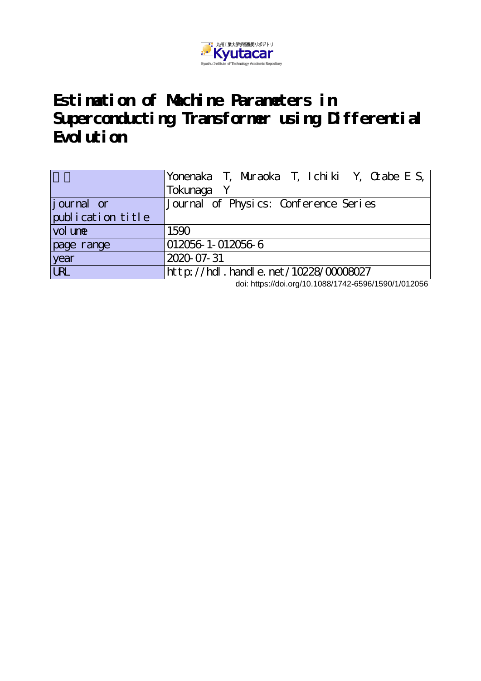

## **Estimation of Machine Parameters in Superconducting Transformer using Differential** Evol ut *i* on

|                   | Yonenaka T, Muraoka T, Ichiki Y, Quabe E S, |  |  |  |  |  |
|-------------------|---------------------------------------------|--|--|--|--|--|
|                   | Tokunaga Y                                  |  |  |  |  |  |
| journal or        | Journal of Physics: Conference Series       |  |  |  |  |  |
| publication title |                                             |  |  |  |  |  |
| vol une           | 1590                                        |  |  |  |  |  |
| page range        | 012056-1-012056-6                           |  |  |  |  |  |
| year              | 2020-07-31                                  |  |  |  |  |  |
| URL               | $ht$ t p://hdl. handle. net/10228/00008027  |  |  |  |  |  |

doi: https://doi.org/10.1088/1742-6596/1590/1/012056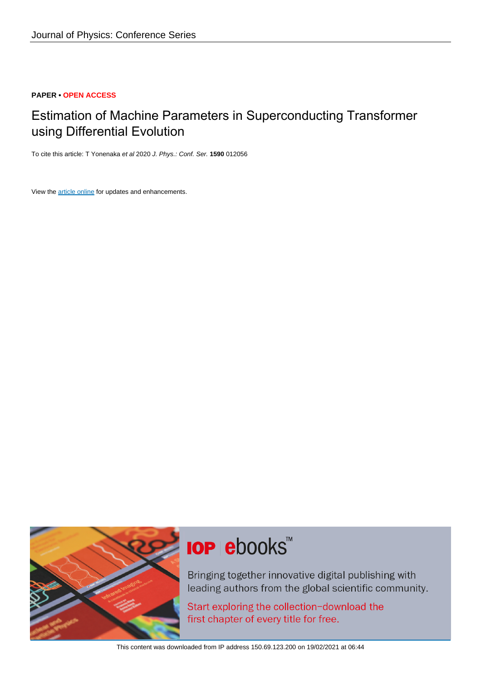#### **PAPER • OPEN ACCESS**

## Estimation of Machine Parameters in Superconducting Transformer using Differential Evolution

To cite this article: T Yonenaka et al 2020 J. Phys.: Conf. Ser. **1590** 012056

View the [article online](https://doi.org/10.1088/1742-6596/1590/1/012056) for updates and enhancements.



# **IOP ebooks**™

Bringing together innovative digital publishing with leading authors from the global scientific community.

Start exploring the collection-download the first chapter of every title for free.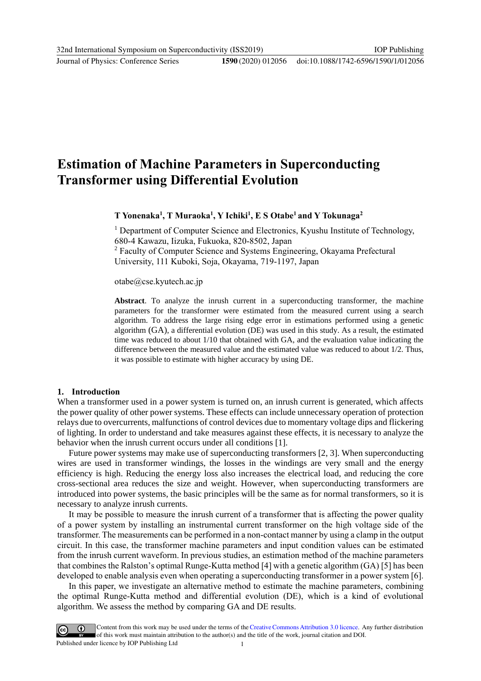Journal of Physics: Conference Series **1590** (2020) 012056

### **Estimation of Machine Parameters in Superconducting Transformer using Differential Evolution**

**T Yonenaka<sup>1</sup> , T Muraoka<sup>1</sup> , Y Ichiki<sup>1</sup> , E S Otabe<sup>1</sup>and Y Tokunaga<sup>2</sup>**

<sup>1</sup> Department of Computer Science and Electronics, Kyushu Institute of Technology, 680-4 Kawazu, Iizuka, Fukuoka, 820-8502, Japan <sup>2</sup> Faculty of Computer Science and Systems Engineering, Okayama Prefectural

University, 111 Kuboki, Soja, Okayama, 719-1197, Japan

otabe@cse.kyutech.ac.jp

**Abstract**. To analyze the inrush current in a superconducting transformer, the machine parameters for the transformer were estimated from the measured current using a search algorithm. To address the large rising edge error in estimations performed using a genetic algorithm (GA), a differential evolution (DE) was used in this study. As a result, the estimated time was reduced to about 1/10 that obtained with GA, and the evaluation value indicating the difference between the measured value and the estimated value was reduced to about 1/2. Thus, it was possible to estimate with higher accuracy by using DE.

#### **1. Introduction**

When a transformer used in a power system is turned on, an inrush current is generated, which affects the power quality of other power systems. These effects can include unnecessary operation of protection relays due to overcurrents, malfunctions of control devices due to momentary voltage dips and flickering of lighting. In order to understand and take measures against these effects, it is necessary to analyze the behavior when the inrush current occurs under all conditions [1].

Future power systems may make use of superconducting transformers [2, 3]. When superconducting wires are used in transformer windings, the losses in the windings are very small and the energy efficiency is high. Reducing the energy loss also increases the electrical load, and reducing the core cross-sectional area reduces the size and weight. However, when superconducting transformers are introduced into power systems, the basic principles will be the same as for normal transformers, so it is necessary to analyze inrush currents.

It may be possible to measure the inrush current of a transformer that is affecting the power quality of a power system by installing an instrumental current transformer on the high voltage side of the transformer. The measurements can be performed in a non-contact manner by using a clamp in the output circuit. In this case, the transformer machine parameters and input condition values can be estimated from the inrush current waveform. In previous studies, an estimation method of the machine parameters that combines the Ralston's optimal Runge-Kutta method [4] with a genetic algorithm (GA) [5] has been developed to enable analysis even when operating a superconducting transformer in a power system [6].

In this paper, we investigate an alternative method to estimate the machine parameters, combining the optimal Runge-Kutta method and differential evolution (DE), which is a kind of evolutional algorithm. We assess the method by comparing GA and DE results.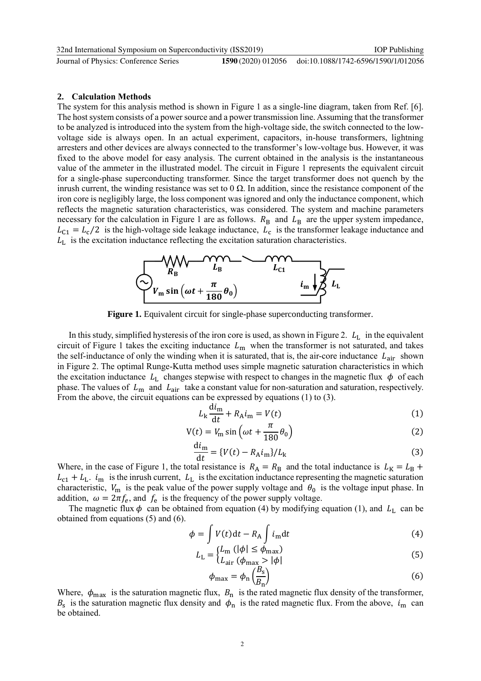#### **2. Calculation Methods**

The system for this analysis method is shown in Figure 1 as a single-line diagram, taken from Ref. [6]. The host system consists of a power source and a power transmission line. Assuming that the transformer to be analyzed is introduced into the system from the high-voltage side, the switch connected to the lowvoltage side is always open. In an actual experiment, capacitors, in-house transformers, lightning arresters and other devices are always connected to the transformer's low-voltage bus. However, it was fixed to the above model for easy analysis. The current obtained in the analysis is the instantaneous value of the ammeter in the illustrated model. The circuit in Figure 1 represents the equivalent circuit for a single-phase superconducting transformer. Since the target transformer does not quench by the inrush current, the winding resistance was set to 0 Ω. In addition, since the resistance component of the iron core is negligibly large, the loss component was ignored and only the inductance component, which reflects the magnetic saturation characteristics, was considered. The system and machine parameters necessary for the calculation in Figure 1 are as follows.  $R_B$  and  $L_B$  are the upper system impedance,  $L_{C1} = L_c/2$  is the high-voltage side leakage inductance,  $L_c$  is the transformer leakage inductance and  $L_{\rm L}$  is the excitation inductance reflecting the excitation saturation characteristics.



**Figure 1.** Equivalent circuit for single-phase superconducting transformer.

In this study, simplified hysteresis of the iron core is used, as shown in Figure 2.  $L<sub>L</sub>$  in the equivalent circuit of Figure 1 takes the exciting inductance  $L<sub>m</sub>$  when the transformer is not saturated, and takes the self-inductance of only the winding when it is saturated, that is, the air-core inductance  $L_{air}$  shown in Figure 2. The optimal Runge-Kutta method uses simple magnetic saturation characteristics in which the excitation inductance  $L_{\rm L}$  changes stepwise with respect to changes in the magnetic flux  $\phi$  of each phase. The values of  $L_m$  and  $L_{air}$  take a constant value for non-saturation and saturation, respectively. From the above, the circuit equations can be expressed by equations (1) to (3).

$$
L_{k} \frac{di_{m}}{dt} + R_{A}i_{m} = V(t)
$$
\n(1)

$$
V(t) = V_{\text{m}} \sin \left(\omega t + \frac{\pi}{180} \theta_0\right)
$$
 (2)

$$
\frac{\mathrm{d}i_{\mathrm{m}}}{\mathrm{d}t} = \{V(t) - R_{\mathrm{A}}i_{\mathrm{m}}\}/L_{\mathrm{k}}\tag{3}
$$

Where, in the case of Figure 1, the total resistance is  $R_A = R_B$  and the total inductance is  $L_K = L_B +$  $L_{c1} + L_{L}$ .  $i_m$  is the inrush current,  $L_{L}$  is the excitation inductance representing the magnetic saturation characteristic,  $V_m$  is the peak value of the power supply voltage and  $\theta_0$  is the voltage input phase. In addition,  $\omega = 2\pi f_e$ , and  $f_e$  is the frequency of the power supply voltage.

The magnetic flux  $\phi$  can be obtained from equation (4) by modifying equation (1), and  $L<sub>L</sub>$  can be obtained from equations (5) and (6).

$$
\phi = \int V(t)dt - R_A \int i_m dt \tag{4}
$$

$$
L_{\rm L} =\begin{cases} L_{\rm m} \left( |\phi| \le \phi_{\rm max} \right) \\ L_{\rm air} \left( \phi_{\rm max} > |\phi| \right) \end{cases} \tag{5}
$$

$$
\phi_{\text{max}} = \phi_{\text{n}} \left( \frac{B_{\text{s}}}{B_{\text{n}}} \right) \tag{6}
$$

Where,  $\phi_{\text{max}}$  is the saturation magnetic flux,  $B_n$  is the rated magnetic flux density of the transformer,  $B_s$  is the saturation magnetic flux density and  $\phi_n$  is the rated magnetic flux. From the above,  $i_m$  can be obtained.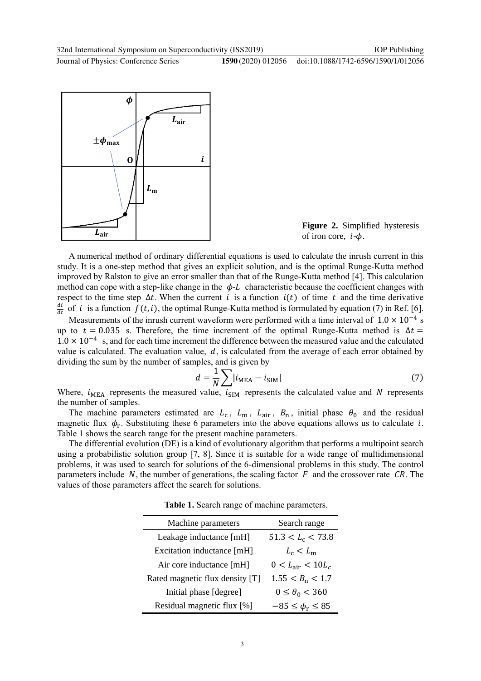32nd International Symposium on Superconductivity (ISS2019)

Journal of Physics: Conference Series **1590** (2020) 012056





A numerical method of ordinary differential equations is used to calculate the inrush current in this study. It is a one-step method that gives an explicit solution, and is the optimal Runge-Kutta method improved by Ralston to give an error smaller than that of the Runge-Kutta method [4]. This calculation method can cope with a step-like change in the  $\phi$ -L characteristic because the coefficient changes with respect to the time step  $\Delta t$ . When the current *i* is a function  $i(t)$  of time *t* and the time derivative d  $\frac{di}{dt}$  of *i* is a function  $f(t, i)$ , the optimal Runge-Kutta method is formulated by equation (7) in Ref. [6].

Measurements of the inrush current waveform were performed with a time interval of  $1.0 \times 10^{-4}$  s up to  $t = 0.035$  s. Therefore, the time increment of the optimal Runge-Kutta method is  $\Delta t =$ 1.0 × 10−4 s, and for each time increment the difference between the measured value and the calculated value is calculated. The evaluation value,  $d$ , is calculated from the average of each error obtained by dividing the sum by the number of samples, and is given by

$$
d = \frac{1}{N} \sum |i_{\text{MEA}} - i_{\text{SIM}}|
$$
 (7)

Where,  $i_{\text{MEA}}$  represents the measured value,  $i_{\text{SIM}}$  represents the calculated value and N represents the number of samples.

The machine parameters estimated are  $L_c$ ,  $L_m$ ,  $L_{air}$ ,  $B_n$ , initial phase  $\theta_0$  and the residual magnetic flux  $\phi_r$ . Substituting these 6 parameters into the above equations allows us to calculate *i*. Table 1 shows the search range for the present machine parameters.

The differential evolution (DE) is a kind of evolutionary algorithm that performs a multipoint search using a probabilistic solution group [7, 8]. Since it is suitable for a wide range of multidimensional problems, it was used to search for solutions of the 6-dimensional problems in this study. The control parameters include  $N$ , the number of generations, the scaling factor  $F$  and the crossover rate  $CR$ . The values of those parameters affect the search for solutions.

| Machine parameters              | Search range                 |  |  |
|---------------------------------|------------------------------|--|--|
| Leakage inductance [mH]         | 51.3 < L <sub>c</sub> < 73.8 |  |  |
| Excitation inductance [mH]      | $L_c < L_m$                  |  |  |
| Air core inductance [mH]        | $0 < L_{\text{air}} < 10L_c$ |  |  |
| Rated magnetic flux density [T] | $1.55 < B_n < 1.7$           |  |  |
| Initial phase [degree]          | $0 \le \theta_0 < 360$       |  |  |
| Residual magnetic flux [%]      | $-85 \leq \phi_r \leq 85$    |  |  |

**Table 1.** Search range of machine parameters.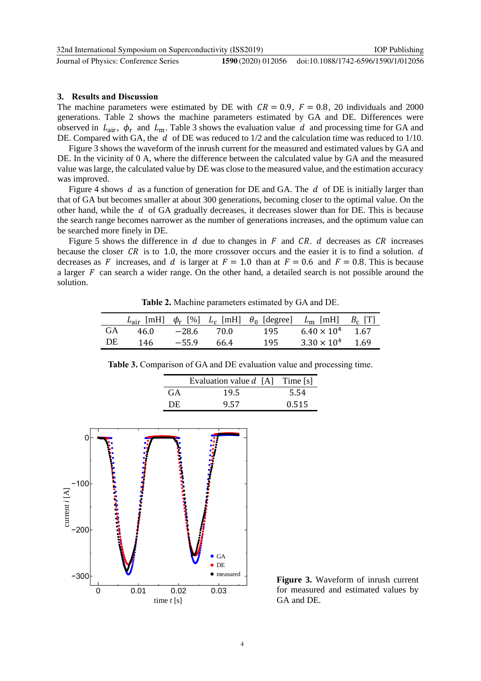Journal of Physics: Conference Series **1590** (2020) 012056 doi:10.1088/1742-6596/1590/1/012056

#### **3. Results and Discussion**

The machine parameters were estimated by DE with  $CR = 0.9$ ,  $F = 0.8$ , 20 individuals and 2000 generations. Table 2 shows the machine parameters estimated by GA and DE. Differences were observed in  $L_{air}$ ,  $\phi_r$  and  $L_m$ . Table 3 shows the evaluation value d and processing time for GA and DE. Compared with GA, the  $d$  of DE was reduced to 1/2 and the calculation time was reduced to 1/10.

Figure 3 shows the waveform of the inrush current for the measured and estimated values by GA and DE. In the vicinity of 0 A, where the difference between the calculated value by GA and the measured value was large, the calculated value by DE was close to the measured value, and the estimation accuracy was improved.

Figure 4 shows  $d$  as a function of generation for DE and GA. The  $d$  of DE is initially larger than that of GA but becomes smaller at about 300 generations, becoming closer to the optimal value. On the other hand, while the  $d$  of GA gradually decreases, it decreases slower than for DE. This is because the search range becomes narrower as the number of generations increases, and the optimum value can be searched more finely in DE.

Figure 5 shows the difference in  $d$  due to changes in  $F$  and  $CR$ .  $d$  decreases as  $CR$  increases because the closer  $CR$  is to 1.0, the more crossover occurs and the easier it is to find a solution.  $d$ decreases as F increases, and d is larger at  $F = 1.0$  than at  $F = 0.6$  and  $F = 0.8$ . This is because a larger  $F$  can search a wider range. On the other hand, a detailed search is not possible around the solution.

**Table 2.** Machine parameters estimated by GA and DE.

|           |      |         |       | $L_{\text{air}}$ [mH] $\phi_r$ [%] $L_c$ [mH] $\theta_0$ [degree] $L_m$ [mH] $B_c$ [T] |                      |      |
|-----------|------|---------|-------|----------------------------------------------------------------------------------------|----------------------|------|
| <b>GA</b> | 46.0 | $-28.6$ | -70.0 | 195                                                                                    | $6.40 \times 10^4$   | 1.67 |
| DE        | 146. | $-55.9$ | 66.4  | 195                                                                                    | $3.30 \times 10^{4}$ | 1.69 |

**Table 3.** Comparison of GA and DE evaluation value and processing time.

Evaluation value  $d$  [A] Time [s] GA 19.5 5.54 DE 9.57 0.515



**Figure 3.** Waveform of inrush current for measured and estimated values by GA and DE.